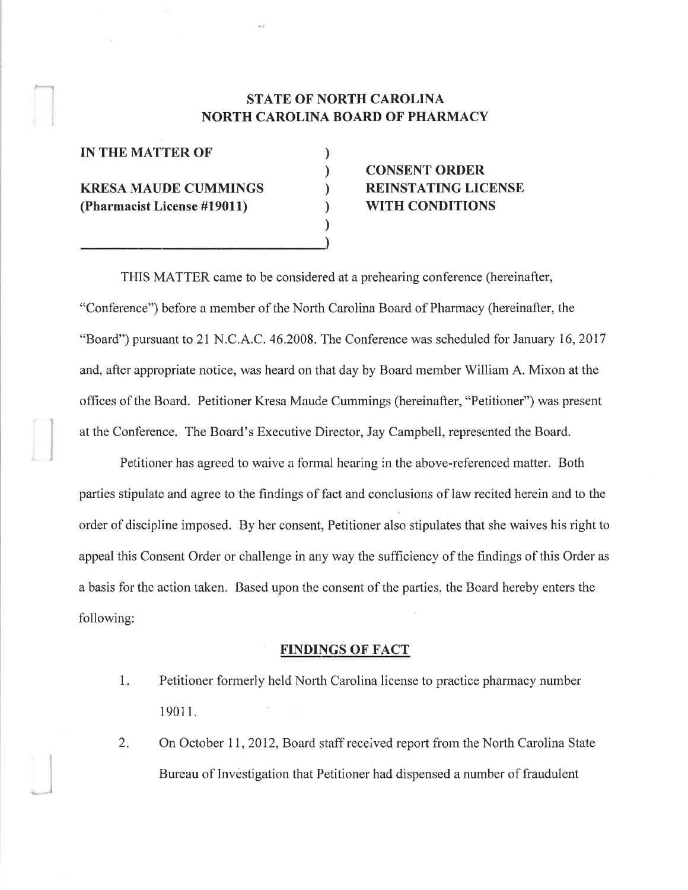# **STATE OF NORTH CAROLINA** NORTH CAROLINA BOARD OF PHARMACY

) ) ) ) ) )

| <b>IN THE MATTER OF</b>                                    |  |
|------------------------------------------------------------|--|
| <b>KRESA MAUDE CUMMINGS</b><br>(Pharmacist License #19011) |  |

# CONSENT ORDER REINSTATING LICENSE WITH CONDITIONS

TFIIS MATTER came to be considered at a prehearing conference (hereinafter, "Conference") before a member of the North Carolina Board of Pharmacy (hereinafter, the "Board") pursuant to 21 N.C.A.C. 46.2008. The Conference was scheduled for January 16, 2017 and, after appropriate notice, was heard on that day by Board member William A. Mixon at the offices of the Board. Petitioner Kresa Maude Cummings (hereinafter, "Petitioner") was present at the Conference. The Board's Executive Director, Jay Campbell, represented the Board.

Petitioner has agreed to waive a formal hearing in the above-referenced matter. Both parties stipulate and agree to the findings of fact and conclusions of law recited herein and to the order of discipline imposed. By her consent, Petitioner also stipulates that she waives his right to appeal this Consent Order or challenge in any way the sufficiency of the findings of this Order as a basis for the action taken. Based upon the consent of the parties, the Board hereby enters the following:

#### FINDINGS OF FACT

- Petitioner formerly held North Carolina license to practice pharmacy number 1901t. I
- On October 11, 2012, Board staff received report from the North Carolina State Bureau of Investigation that Petitioner had dispensed a number of fraudulent  $2.$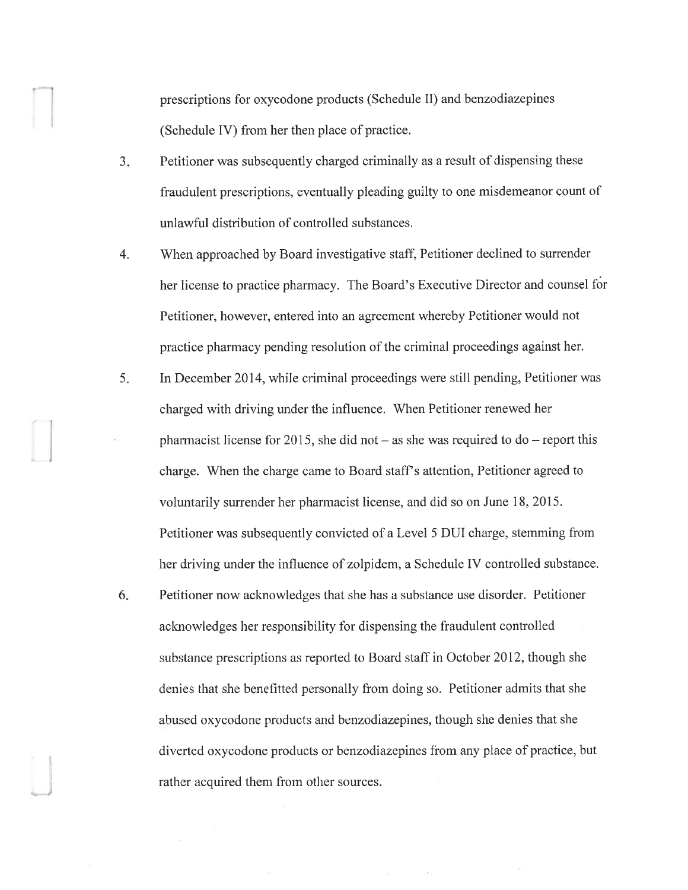prescriptions for oxycodone products (Schedule II) and benzodiazepines (Schedule IV) from her then place of practice.

- $3<sub>1</sub>$ Petitioner was subsequently charged criminally as a result of dispensing these fraudulent prescriptions, eventually pleading guilty to one misdemeanor count of unlawful distribution of controlled substances.
- 'When approached by Board investigative staff, Petitioner declined to surrender her license to practice pharmacy. The Board's Executive Director and counsel fér Petitioner, however, entered into an agreement whereby Petitioner would not practice pharmacy pending resolution of the criminal proceedings against her. 4.
- In December 2014, while criminal proceedings were still pending, Petitioner was charged with driving under the influence. When Petitioner renewed her pharmacist license for 2015, she did not  $-$  as she was required to do  $-$  report this charge. When the charge came to Board staff s attention, Petitioner agreed to voluntarily surrender her pharmacist license, and did so on June 18, 2015. Petitioner was subsequently convicted of a Level 5 DUI charge. stemming from her driving under the influence of zolpidem, a Schedule IV controlled substance. 5.
- Petitioner now acknowleclges that she has a substance use disorder. Petitioner acknowledges her responsibility for dispensing the fraudulent controlled substance prescriptions as reported to Board staff in October 2012, though she denies that she benefitted personally from doing so. Petitioner admits that she abused oxycodone products and benzodiazepines, though she denies that she diverted oxycodone products or benzodiazepines from any place of practice, but rather acquired them from other sources. 6

)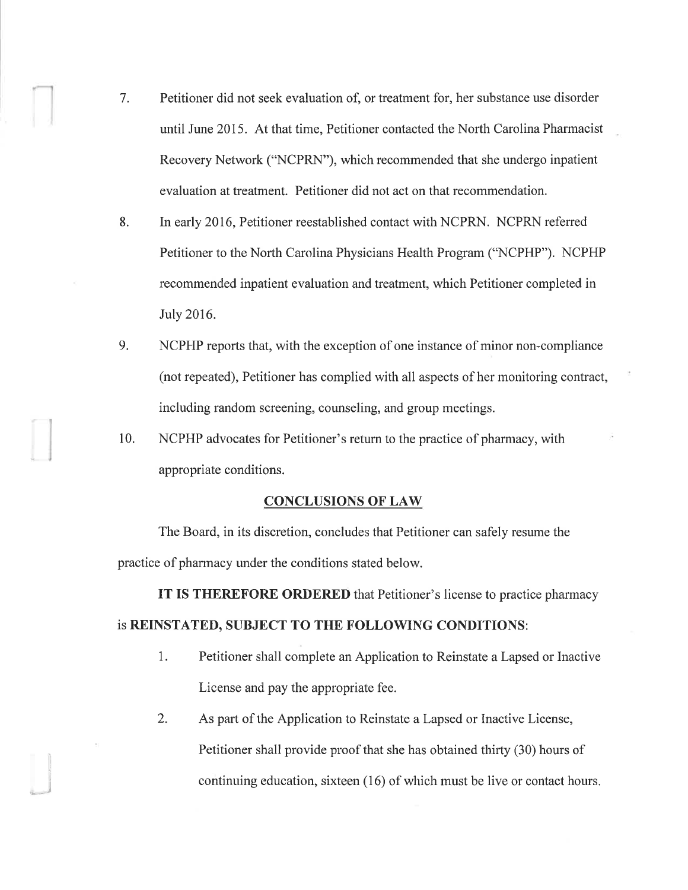- 7. Petitioner did not seek evaluation of, or treatment for, her substance use disorder until June 2015. At that time, Petitioner contacted the North Carolina Pharmacist Recovery Network ("NCPRN"), which recommended that she undergo inpatient evaluation at treatment. Petitioner did not act on that recommendation.
- 8. In early 2016, Petitioner reestablished contact with NCPRN. NCPRN referred Petitioner to the North Carolina Physicians Health Program ("NCPHP"). NCPHP recommended inpatient evaluation and treatment, which Petitioner completed in July 2016.
- 9. NCPHP reports that, with the exception of one instance of minor non-compliance (not repeated), Petitioner has complied with all aspects of her monitoring contract, including random screening, counseling, and group meetings.
- 10. NCPHP advocates for Petitioner's return to the practice of pharmacy, with appropriate conditions.

#### CONCLIJSIONS OF LAW

The Board, in its discretion, concludes that Petitioner can safely resume the practice of pharmacy under the conditions stated below.

IT IS THEREFORE ORDERED that Petitioner's license to practice pharmacy

### is REINSTATED, SUBJECT TO THE FOLLOWING CONDITIONS:

- 1. Petitioner shall complete an Application to Reinstate a Lapsed or Inactive License and pay the appropriate fee.
- 2. As part of the Application to Reinstate a Lapsed or Inactive License, Petitioner shall provide proof that she has obtained thirty (30) hours of continuing education, sixteen (16) of which must be live or contact hours.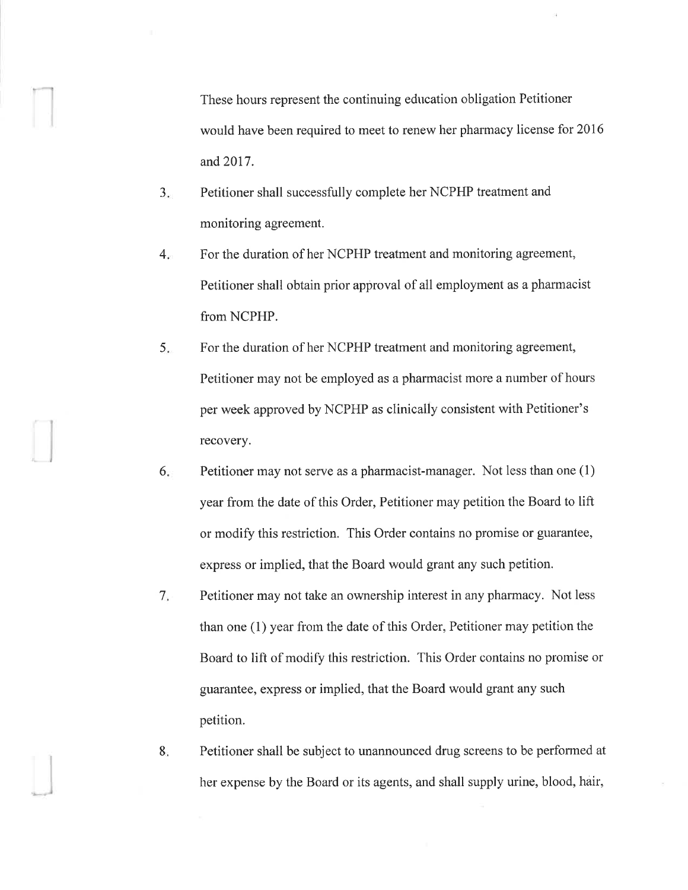These hours represent the continuing education obligation Petitioner would have been required to meet to renew her pharmacy license for 2016 and 2017.

- a J Petitioner shall successfully complete her NCPHP treatment and monitoring agreement.
- $4.$ For the duration of her NCPHP treatment and monitoring agreement, Petitioner shall obtain prior approval of all employment as a pharmacist from NCPHP.
- For the duration of her NCPHP treatment and monitoring agreement, Petitioner may not be employed as a pharmacist more a number of hours per week approved by NCPHP as clinically consistent with Petitioner's recovery. 5.
- Petitioner may not serve as a pharmacist-manager. Not less than one (1) year from the date of this Order, Petitioner may petition the Board to lift or modify this restriction. This Order contains no promise or guarantee, express or implied, that the Board would grant any such petition. 6
- Petitioner may not take an ownership interest in any pharmacy. Not less than one  $(1)$  year from the date of this Order, Petitioner may petition the Board to lift of modify this restriction. This Order contains no promise or guarantee, express or implied, that the Board would grant any such petition.  $7<sub>1</sub>$
- Petitioner shall be subject to unannounced drug screens to be performed at her expense by the Board or its agents, and shall supply utine, blood, hair, 8.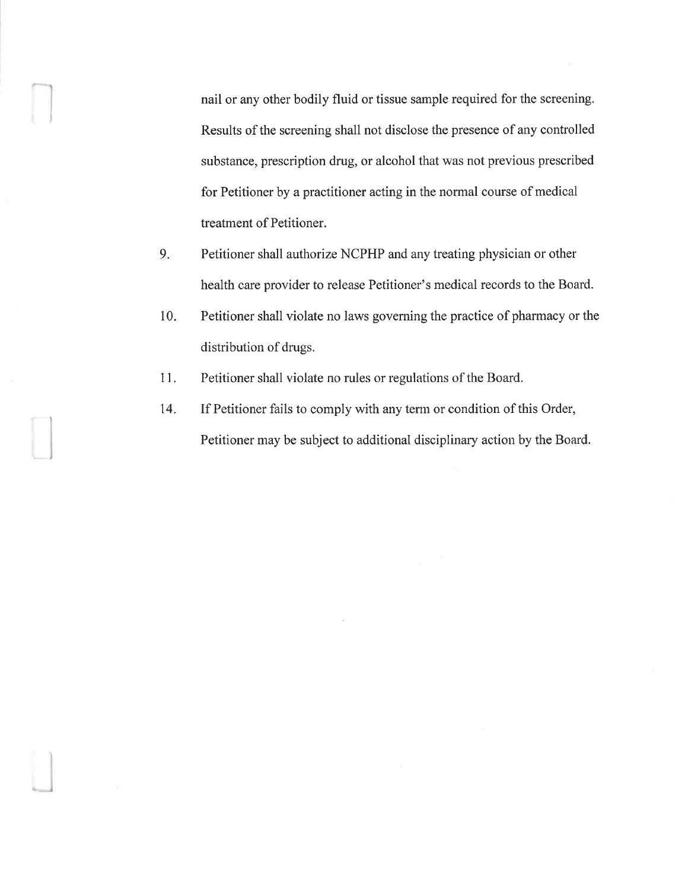nail or any other bodily fluid or tissue sample required for the screening. Results of the screening shall not disclose the presence of any controlled substance, prescription drug, or alcohol that was not previous prescribed for Petitioner by a practitioner acting in the normal course of medical treatment of Petitioner.

- Petitioner shall authorize NCPHP and any treating physician or other health care provider to release Petitioner's medical records to the Board.  $9.$
- Petitioner shall violate no laws governing the practice of pharmacy or the distribution of drugs. l0
- Petitioner shall violate no rules or regulations of the Board. 11.

 $\Box$ 

.J

If Petitioner fails to comply with any terrn or condition of this Order, Petitioner may be subject to additional disciplinary action by the Board. I4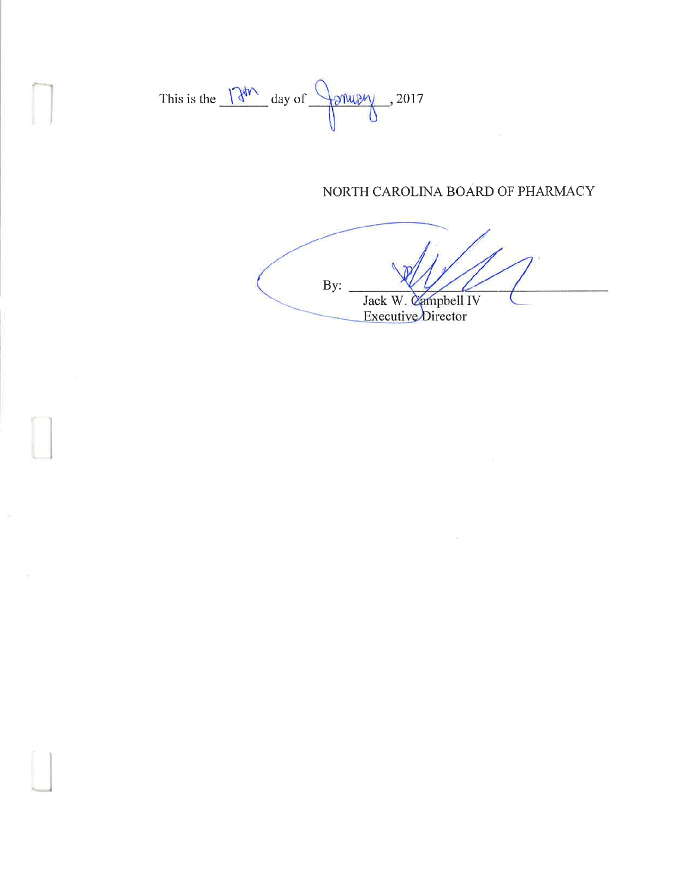

I

# NORTH CAROLINA BOARD OF PHARMACY

By: Jack W. Campbell IV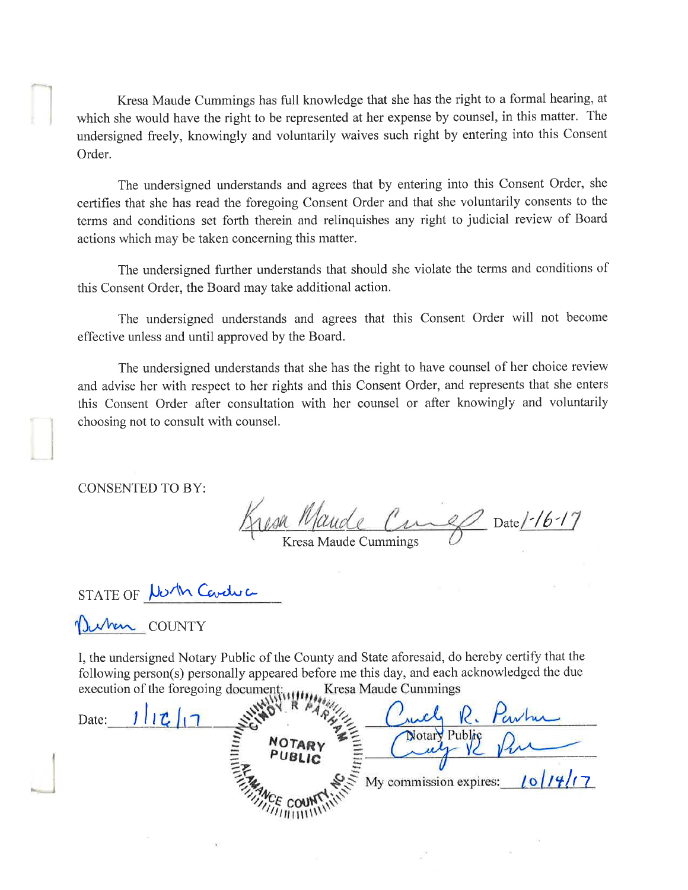Kresa Maude Cummings has full knowledge that she has the right to a formal hearing, at which she would have the right to be represented at her expense by counsel, in this matter. The undersigned freely, knowingly and voluntarily waives such right by entering into this Consent Order.

The undersigned understands and agrees that by entering into this Consent Order, she certifies that she has read the foregoing Consent Order and that she voluntarily consents to the terms and conditions set forth therein and relinquishes any right to judicial review of Board actions which may be taken concerning this matter.

The undersigned further understands that should she violate the terms and conditions of this Consent Order, the Board may take additional action.

The undersigned understands and agrees that this Consent Order will not become effective unless and until approved by the Board.

The undersigned understands that she has the right to have counsel of her choice review and advise her with respect to her rights and this Consent Order, and represents that she enters this Consent Order after consultation with her counsel or after knowingly and voluntarily choosing not to consult with counsel.

CONSENTED TO BY:

l

esa Maude Curel Date/-16-17

Kresa Maude Cummings

STATE OF North Caveluc

Uwhen COUNTY

I, the nndersigned Notary Public of the County and State aforesaid, do hereby certify that the following person(s) personally appeared before me this day, and each acknowledged the due execution of the foregoing document; Kresa Maude Cummings

Date: Notary Public PUBLIC My commission expires:  $1011417$